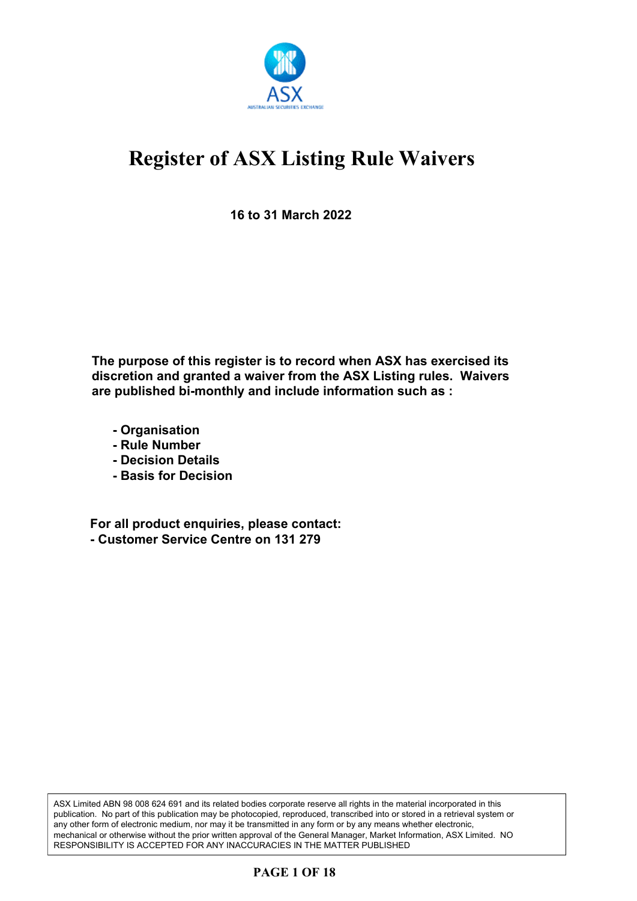

**16 to 31 March 2022**

**The purpose of this register is to record when ASX has exercised its discretion and granted a waiver from the ASX Listing rules. Waivers are published bi-monthly and include information such as :**

- **Organisation**
- **Rule Number**
- **Decision Details**
- **Basis for Decision**

**For all product enquiries, please contact: - Customer Service Centre on 131 279**

ASX Limited ABN 98 008 624 691 and its related bodies corporate reserve all rights in the material incorporated in this publication. No part of this publication may be photocopied, reproduced, transcribed into or stored in a retrieval system or any other form of electronic medium, nor may it be transmitted in any form or by any means whether electronic, mechanical or otherwise without the prior written approval of the General Manager, Market Information, ASX Limited. NO RESPONSIBILITY IS ACCEPTED FOR ANY INACCURACIES IN THE MATTER PUBLISHED

### **PAGE 1 OF 18**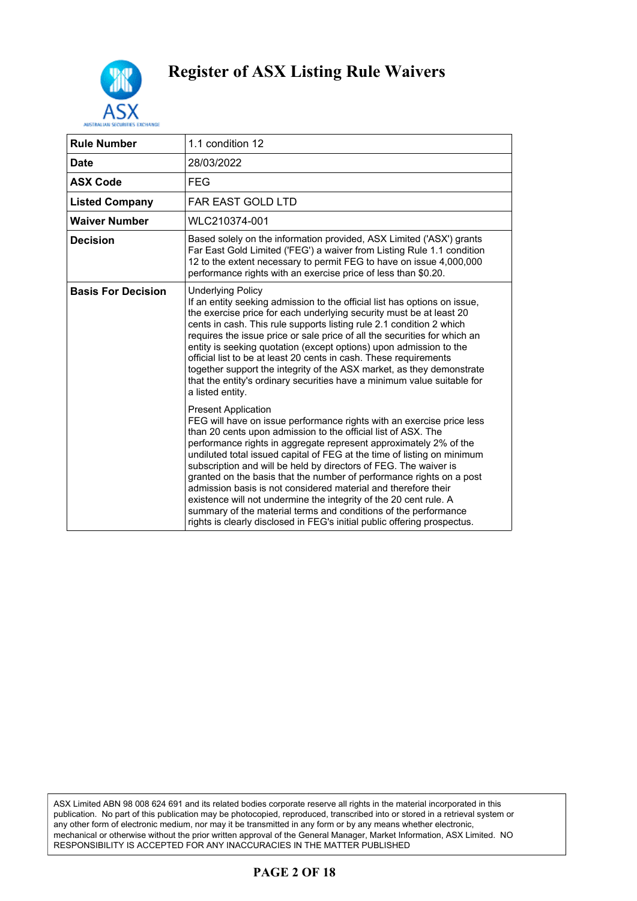

| <b>Rule Number</b>        | 1.1 condition 12                                                                                                                                                                                                                                                                                                                                                                                                                                                                                                                                                                                                                                                                                                                                       |
|---------------------------|--------------------------------------------------------------------------------------------------------------------------------------------------------------------------------------------------------------------------------------------------------------------------------------------------------------------------------------------------------------------------------------------------------------------------------------------------------------------------------------------------------------------------------------------------------------------------------------------------------------------------------------------------------------------------------------------------------------------------------------------------------|
| <b>Date</b>               | 28/03/2022                                                                                                                                                                                                                                                                                                                                                                                                                                                                                                                                                                                                                                                                                                                                             |
| <b>ASX Code</b>           | <b>FEG</b>                                                                                                                                                                                                                                                                                                                                                                                                                                                                                                                                                                                                                                                                                                                                             |
| <b>Listed Company</b>     | <b>FAR EAST GOLD LTD</b>                                                                                                                                                                                                                                                                                                                                                                                                                                                                                                                                                                                                                                                                                                                               |
| <b>Waiver Number</b>      | WLC210374-001                                                                                                                                                                                                                                                                                                                                                                                                                                                                                                                                                                                                                                                                                                                                          |
| <b>Decision</b>           | Based solely on the information provided, ASX Limited ('ASX') grants<br>Far East Gold Limited ('FEG') a waiver from Listing Rule 1.1 condition<br>12 to the extent necessary to permit FEG to have on issue 4,000,000<br>performance rights with an exercise price of less than \$0.20.                                                                                                                                                                                                                                                                                                                                                                                                                                                                |
| <b>Basis For Decision</b> | <b>Underlying Policy</b><br>If an entity seeking admission to the official list has options on issue,<br>the exercise price for each underlying security must be at least 20<br>cents in cash. This rule supports listing rule 2.1 condition 2 which<br>requires the issue price or sale price of all the securities for which an<br>entity is seeking quotation (except options) upon admission to the<br>official list to be at least 20 cents in cash. These requirements<br>together support the integrity of the ASX market, as they demonstrate<br>that the entity's ordinary securities have a minimum value suitable for<br>a listed entity.                                                                                                   |
|                           | <b>Present Application</b><br>FEG will have on issue performance rights with an exercise price less<br>than 20 cents upon admission to the official list of ASX. The<br>performance rights in aggregate represent approximately 2% of the<br>undiluted total issued capital of FEG at the time of listing on minimum<br>subscription and will be held by directors of FEG. The waiver is<br>granted on the basis that the number of performance rights on a post<br>admission basis is not considered material and therefore their<br>existence will not undermine the integrity of the 20 cent rule. A<br>summary of the material terms and conditions of the performance<br>rights is clearly disclosed in FEG's initial public offering prospectus. |

ASX Limited ABN 98 008 624 691 and its related bodies corporate reserve all rights in the material incorporated in this publication. No part of this publication may be photocopied, reproduced, transcribed into or stored in a retrieval system or any other form of electronic medium, nor may it be transmitted in any form or by any means whether electronic, mechanical or otherwise without the prior written approval of the General Manager, Market Information, ASX Limited. NO RESPONSIBILITY IS ACCEPTED FOR ANY INACCURACIES IN THE MATTER PUBLISHED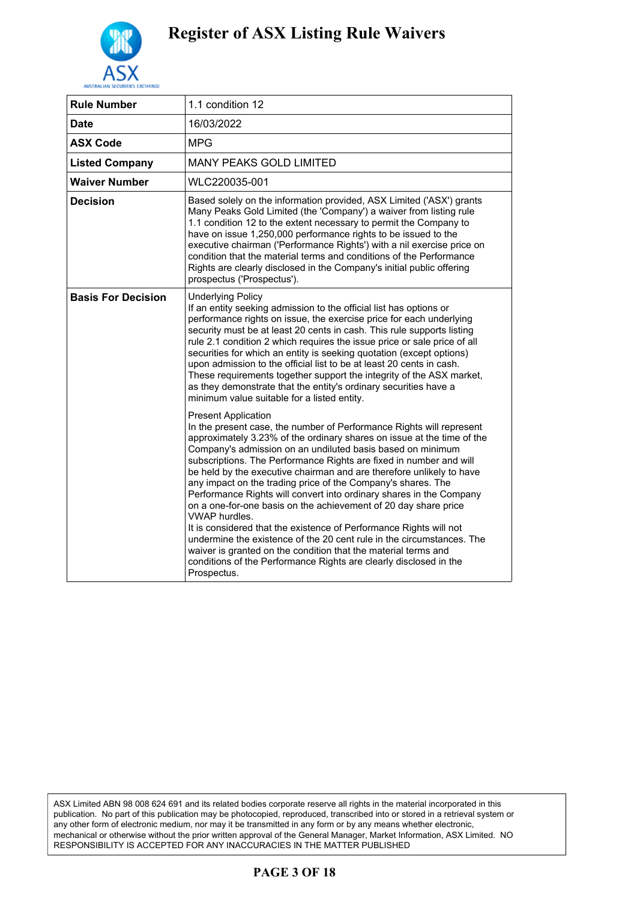

| <b>Rule Number</b>        | 1.1 condition 12                                                                                                                                                                                                                                                                                                                                                                                                                                                                                                                                                                                                                                                                                                                                                                                                                                                                                                                |
|---------------------------|---------------------------------------------------------------------------------------------------------------------------------------------------------------------------------------------------------------------------------------------------------------------------------------------------------------------------------------------------------------------------------------------------------------------------------------------------------------------------------------------------------------------------------------------------------------------------------------------------------------------------------------------------------------------------------------------------------------------------------------------------------------------------------------------------------------------------------------------------------------------------------------------------------------------------------|
| Date                      | 16/03/2022                                                                                                                                                                                                                                                                                                                                                                                                                                                                                                                                                                                                                                                                                                                                                                                                                                                                                                                      |
| <b>ASX Code</b>           | <b>MPG</b>                                                                                                                                                                                                                                                                                                                                                                                                                                                                                                                                                                                                                                                                                                                                                                                                                                                                                                                      |
| <b>Listed Company</b>     | <b>MANY PEAKS GOLD LIMITED</b>                                                                                                                                                                                                                                                                                                                                                                                                                                                                                                                                                                                                                                                                                                                                                                                                                                                                                                  |
| <b>Waiver Number</b>      | WLC220035-001                                                                                                                                                                                                                                                                                                                                                                                                                                                                                                                                                                                                                                                                                                                                                                                                                                                                                                                   |
| <b>Decision</b>           | Based solely on the information provided, ASX Limited ('ASX') grants<br>Many Peaks Gold Limited (the 'Company') a waiver from listing rule<br>1.1 condition 12 to the extent necessary to permit the Company to<br>have on issue 1,250,000 performance rights to be issued to the<br>executive chairman ('Performance Rights') with a nil exercise price on<br>condition that the material terms and conditions of the Performance<br>Rights are clearly disclosed in the Company's initial public offering<br>prospectus ('Prospectus').                                                                                                                                                                                                                                                                                                                                                                                       |
| <b>Basis For Decision</b> | <b>Underlying Policy</b><br>If an entity seeking admission to the official list has options or<br>performance rights on issue, the exercise price for each underlying<br>security must be at least 20 cents in cash. This rule supports listing<br>rule 2.1 condition 2 which requires the issue price or sale price of all<br>securities for which an entity is seeking quotation (except options)<br>upon admission to the official list to be at least 20 cents in cash.<br>These requirements together support the integrity of the ASX market,<br>as they demonstrate that the entity's ordinary securities have a<br>minimum value suitable for a listed entity.                                                                                                                                                                                                                                                          |
|                           | <b>Present Application</b><br>In the present case, the number of Performance Rights will represent<br>approximately 3.23% of the ordinary shares on issue at the time of the<br>Company's admission on an undiluted basis based on minimum<br>subscriptions. The Performance Rights are fixed in number and will<br>be held by the executive chairman and are therefore unlikely to have<br>any impact on the trading price of the Company's shares. The<br>Performance Rights will convert into ordinary shares in the Company<br>on a one-for-one basis on the achievement of 20 day share price<br><b>VWAP hurdles.</b><br>It is considered that the existence of Performance Rights will not<br>undermine the existence of the 20 cent rule in the circumstances. The<br>waiver is granted on the condition that the material terms and<br>conditions of the Performance Rights are clearly disclosed in the<br>Prospectus. |

ASX Limited ABN 98 008 624 691 and its related bodies corporate reserve all rights in the material incorporated in this publication. No part of this publication may be photocopied, reproduced, transcribed into or stored in a retrieval system or any other form of electronic medium, nor may it be transmitted in any form or by any means whether electronic, mechanical or otherwise without the prior written approval of the General Manager, Market Information, ASX Limited. NO RESPONSIBILITY IS ACCEPTED FOR ANY INACCURACIES IN THE MATTER PUBLISHED

#### **PAGE 3 OF 18**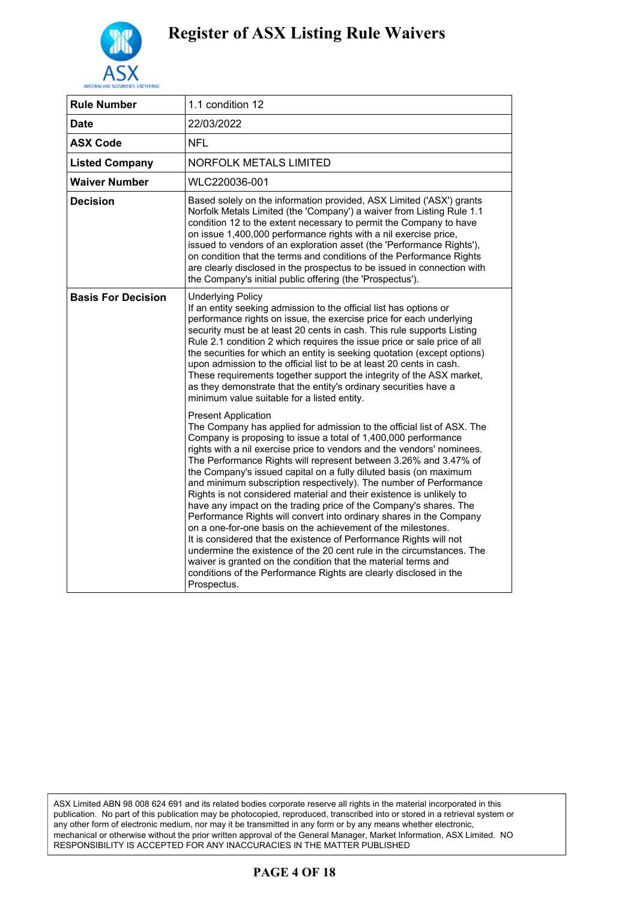

| <b>Rule Number</b>        | 1.1 condition 12                                                                                                                                                                                                                                                                                                                                                                                                                                                                                                                                                                                                                                                                                                                                                                                                                                                                                                                                                                                                                                        |
|---------------------------|---------------------------------------------------------------------------------------------------------------------------------------------------------------------------------------------------------------------------------------------------------------------------------------------------------------------------------------------------------------------------------------------------------------------------------------------------------------------------------------------------------------------------------------------------------------------------------------------------------------------------------------------------------------------------------------------------------------------------------------------------------------------------------------------------------------------------------------------------------------------------------------------------------------------------------------------------------------------------------------------------------------------------------------------------------|
| <b>Date</b>               | 22/03/2022                                                                                                                                                                                                                                                                                                                                                                                                                                                                                                                                                                                                                                                                                                                                                                                                                                                                                                                                                                                                                                              |
| <b>ASX Code</b>           | <b>NFL</b>                                                                                                                                                                                                                                                                                                                                                                                                                                                                                                                                                                                                                                                                                                                                                                                                                                                                                                                                                                                                                                              |
| <b>Listed Company</b>     | <b>NORFOLK METALS LIMITED</b>                                                                                                                                                                                                                                                                                                                                                                                                                                                                                                                                                                                                                                                                                                                                                                                                                                                                                                                                                                                                                           |
| <b>Waiver Number</b>      | WLC220036-001                                                                                                                                                                                                                                                                                                                                                                                                                                                                                                                                                                                                                                                                                                                                                                                                                                                                                                                                                                                                                                           |
| <b>Decision</b>           | Based solely on the information provided, ASX Limited ('ASX') grants<br>Norfolk Metals Limited (the 'Company') a waiver from Listing Rule 1.1<br>condition 12 to the extent necessary to permit the Company to have<br>on issue 1,400,000 performance rights with a nil exercise price,<br>issued to vendors of an exploration asset (the 'Performance Rights'),<br>on condition that the terms and conditions of the Performance Rights<br>are clearly disclosed in the prospectus to be issued in connection with<br>the Company's initial public offering (the 'Prospectus').                                                                                                                                                                                                                                                                                                                                                                                                                                                                        |
| <b>Basis For Decision</b> | <b>Underlying Policy</b><br>If an entity seeking admission to the official list has options or<br>performance rights on issue, the exercise price for each underlying<br>security must be at least 20 cents in cash. This rule supports Listing<br>Rule 2.1 condition 2 which requires the issue price or sale price of all<br>the securities for which an entity is seeking quotation (except options)<br>upon admission to the official list to be at least 20 cents in cash.<br>These requirements together support the integrity of the ASX market,<br>as they demonstrate that the entity's ordinary securities have a<br>minimum value suitable for a listed entity.                                                                                                                                                                                                                                                                                                                                                                              |
|                           | <b>Present Application</b><br>The Company has applied for admission to the official list of ASX. The<br>Company is proposing to issue a total of 1,400,000 performance<br>rights with a nil exercise price to vendors and the vendors' nominees.<br>The Performance Rights will represent between 3.26% and 3.47% of<br>the Company's issued capital on a fully diluted basis (on maximum<br>and minimum subscription respectively). The number of Performance<br>Rights is not considered material and their existence is unlikely to<br>have any impact on the trading price of the Company's shares. The<br>Performance Rights will convert into ordinary shares in the Company<br>on a one-for-one basis on the achievement of the milestones.<br>It is considered that the existence of Performance Rights will not<br>undermine the existence of the 20 cent rule in the circumstances. The<br>waiver is granted on the condition that the material terms and<br>conditions of the Performance Rights are clearly disclosed in the<br>Prospectus. |

#### **PAGE 4 OF 18**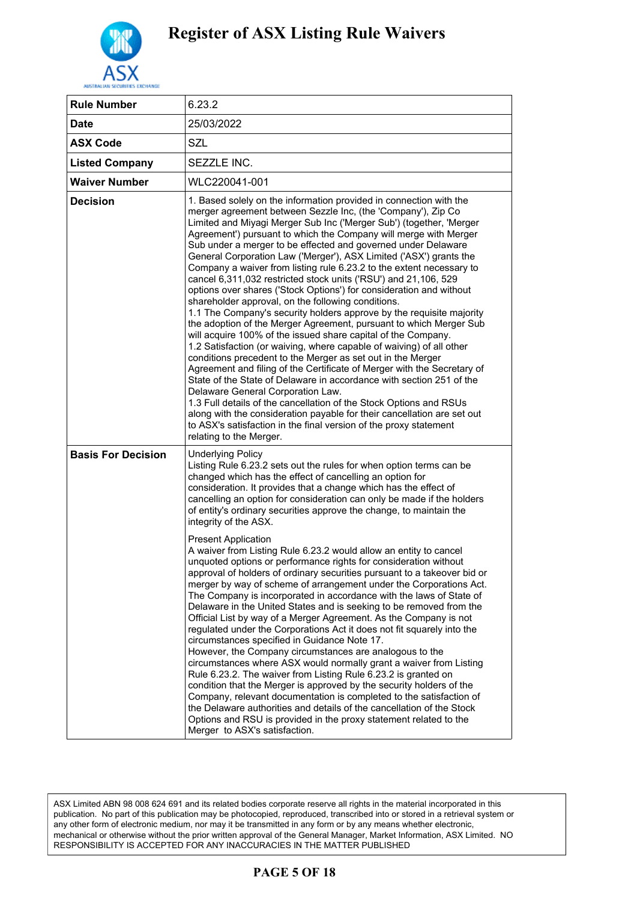

| <b>Rule Number</b>        | 6.23.2                                                                                                                                                                                                                                                                                                                                                                                                                                                                                                                                                                                                                                                                                                                                                                                                                                                                                                                                                                                                                                                                                                                                                                                                                                                                                                                                                                                                                                                                                                                                                                                                           |
|---------------------------|------------------------------------------------------------------------------------------------------------------------------------------------------------------------------------------------------------------------------------------------------------------------------------------------------------------------------------------------------------------------------------------------------------------------------------------------------------------------------------------------------------------------------------------------------------------------------------------------------------------------------------------------------------------------------------------------------------------------------------------------------------------------------------------------------------------------------------------------------------------------------------------------------------------------------------------------------------------------------------------------------------------------------------------------------------------------------------------------------------------------------------------------------------------------------------------------------------------------------------------------------------------------------------------------------------------------------------------------------------------------------------------------------------------------------------------------------------------------------------------------------------------------------------------------------------------------------------------------------------------|
| <b>Date</b>               | 25/03/2022                                                                                                                                                                                                                                                                                                                                                                                                                                                                                                                                                                                                                                                                                                                                                                                                                                                                                                                                                                                                                                                                                                                                                                                                                                                                                                                                                                                                                                                                                                                                                                                                       |
| <b>ASX Code</b>           | SZL                                                                                                                                                                                                                                                                                                                                                                                                                                                                                                                                                                                                                                                                                                                                                                                                                                                                                                                                                                                                                                                                                                                                                                                                                                                                                                                                                                                                                                                                                                                                                                                                              |
| <b>Listed Company</b>     | SEZZLE INC.                                                                                                                                                                                                                                                                                                                                                                                                                                                                                                                                                                                                                                                                                                                                                                                                                                                                                                                                                                                                                                                                                                                                                                                                                                                                                                                                                                                                                                                                                                                                                                                                      |
| <b>Waiver Number</b>      | WLC220041-001                                                                                                                                                                                                                                                                                                                                                                                                                                                                                                                                                                                                                                                                                                                                                                                                                                                                                                                                                                                                                                                                                                                                                                                                                                                                                                                                                                                                                                                                                                                                                                                                    |
| <b>Decision</b>           | 1. Based solely on the information provided in connection with the<br>merger agreement between Sezzle Inc, (the 'Company'), Zip Co<br>Limited and Miyagi Merger Sub Inc ('Merger Sub') (together, 'Merger<br>Agreement') pursuant to which the Company will merge with Merger<br>Sub under a merger to be effected and governed under Delaware<br>General Corporation Law ('Merger'), ASX Limited ('ASX') grants the<br>Company a waiver from listing rule 6.23.2 to the extent necessary to<br>cancel 6,311,032 restricted stock units ('RSU') and 21,106, 529<br>options over shares ('Stock Options') for consideration and without<br>shareholder approval, on the following conditions.<br>1.1 The Company's security holders approve by the requisite majority<br>the adoption of the Merger Agreement, pursuant to which Merger Sub<br>will acquire 100% of the issued share capital of the Company.<br>1.2 Satisfaction (or waiving, where capable of waiving) of all other<br>conditions precedent to the Merger as set out in the Merger<br>Agreement and filing of the Certificate of Merger with the Secretary of<br>State of the State of Delaware in accordance with section 251 of the<br>Delaware General Corporation Law.<br>1.3 Full details of the cancellation of the Stock Options and RSUs<br>along with the consideration payable for their cancellation are set out<br>to ASX's satisfaction in the final version of the proxy statement<br>relating to the Merger.                                                                                                                      |
| <b>Basis For Decision</b> | <b>Underlying Policy</b><br>Listing Rule 6.23.2 sets out the rules for when option terms can be<br>changed which has the effect of cancelling an option for<br>consideration. It provides that a change which has the effect of<br>cancelling an option for consideration can only be made if the holders<br>of entity's ordinary securities approve the change, to maintain the<br>integrity of the ASX.<br><b>Present Application</b><br>A waiver from Listing Rule 6.23.2 would allow an entity to cancel<br>unquoted options or performance rights for consideration without<br>approval of holders of ordinary securities pursuant to a takeover bid or<br>merger by way of scheme of arrangement under the Corporations Act.<br>The Company is incorporated in accordance with the laws of State of<br>Delaware in the United States and is seeking to be removed from the<br>Official List by way of a Merger Agreement. As the Company is not<br>regulated under the Corporations Act it does not fit squarely into the<br>circumstances specified in Guidance Note 17.<br>However, the Company circumstances are analogous to the<br>circumstances where ASX would normally grant a waiver from Listing<br>Rule 6.23.2. The waiver from Listing Rule 6.23.2 is granted on<br>condition that the Merger is approved by the security holders of the<br>Company, relevant documentation is completed to the satisfaction of<br>the Delaware authorities and details of the cancellation of the Stock<br>Options and RSU is provided in the proxy statement related to the<br>Merger to ASX's satisfaction. |

### **PAGE 5 OF 18**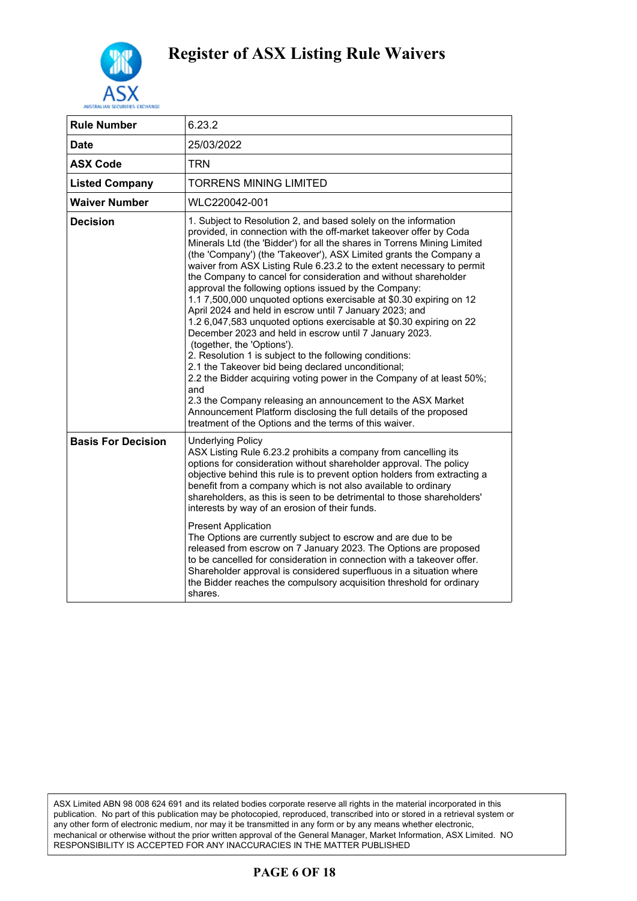



| <b>Rule Number</b>        | 6.23.2                                                                                                                                                                                                                                                                                                                                                                                                                                                                                                                                                                                                                                                                                                                                                                                                                                                                                                                                                                                                                                                                                                                                                                                       |
|---------------------------|----------------------------------------------------------------------------------------------------------------------------------------------------------------------------------------------------------------------------------------------------------------------------------------------------------------------------------------------------------------------------------------------------------------------------------------------------------------------------------------------------------------------------------------------------------------------------------------------------------------------------------------------------------------------------------------------------------------------------------------------------------------------------------------------------------------------------------------------------------------------------------------------------------------------------------------------------------------------------------------------------------------------------------------------------------------------------------------------------------------------------------------------------------------------------------------------|
| <b>Date</b>               | 25/03/2022                                                                                                                                                                                                                                                                                                                                                                                                                                                                                                                                                                                                                                                                                                                                                                                                                                                                                                                                                                                                                                                                                                                                                                                   |
| <b>ASX Code</b>           | <b>TRN</b>                                                                                                                                                                                                                                                                                                                                                                                                                                                                                                                                                                                                                                                                                                                                                                                                                                                                                                                                                                                                                                                                                                                                                                                   |
| <b>Listed Company</b>     | <b>TORRENS MINING LIMITED</b>                                                                                                                                                                                                                                                                                                                                                                                                                                                                                                                                                                                                                                                                                                                                                                                                                                                                                                                                                                                                                                                                                                                                                                |
| <b>Waiver Number</b>      | WLC220042-001                                                                                                                                                                                                                                                                                                                                                                                                                                                                                                                                                                                                                                                                                                                                                                                                                                                                                                                                                                                                                                                                                                                                                                                |
| <b>Decision</b>           | 1. Subject to Resolution 2, and based solely on the information<br>provided, in connection with the off-market takeover offer by Coda<br>Minerals Ltd (the 'Bidder') for all the shares in Torrens Mining Limited<br>(the 'Company') (the 'Takeover'), ASX Limited grants the Company a<br>waiver from ASX Listing Rule 6.23.2 to the extent necessary to permit<br>the Company to cancel for consideration and without shareholder<br>approval the following options issued by the Company:<br>1.1 7,500,000 unquoted options exercisable at \$0.30 expiring on 12<br>April 2024 and held in escrow until 7 January 2023; and<br>1.2 6,047,583 unquoted options exercisable at \$0.30 expiring on 22<br>December 2023 and held in escrow until 7 January 2023.<br>(together, the 'Options').<br>2. Resolution 1 is subject to the following conditions:<br>2.1 the Takeover bid being declared unconditional;<br>2.2 the Bidder acquiring voting power in the Company of at least 50%;<br>and<br>2.3 the Company releasing an announcement to the ASX Market<br>Announcement Platform disclosing the full details of the proposed<br>treatment of the Options and the terms of this waiver. |
| <b>Basis For Decision</b> | <b>Underlying Policy</b><br>ASX Listing Rule 6.23.2 prohibits a company from cancelling its<br>options for consideration without shareholder approval. The policy<br>objective behind this rule is to prevent option holders from extracting a<br>benefit from a company which is not also available to ordinary<br>shareholders, as this is seen to be detrimental to those shareholders'<br>interests by way of an erosion of their funds.<br><b>Present Application</b><br>The Options are currently subject to escrow and are due to be<br>released from escrow on 7 January 2023. The Options are proposed<br>to be cancelled for consideration in connection with a takeover offer.<br>Shareholder approval is considered superfluous in a situation where<br>the Bidder reaches the compulsory acquisition threshold for ordinary<br>shares.                                                                                                                                                                                                                                                                                                                                          |

#### **PAGE 6 OF 18**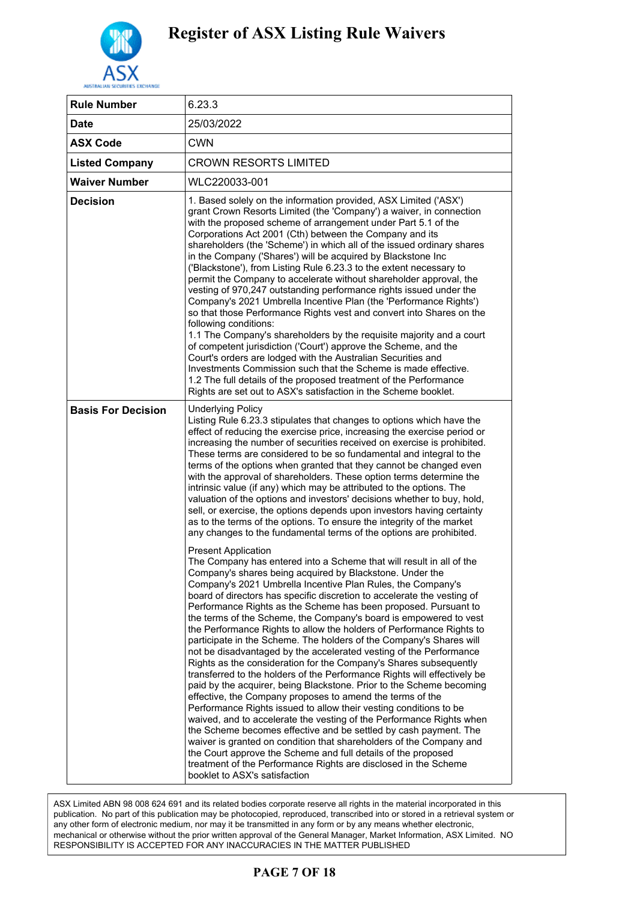

| <b>Rule Number</b>        | 6.23.3                                                                                                                                                                                                                                                                                                                                                                                                                                                                                                                                                                                                                                                                                                                                                                                                                                                                                                                                                                                                                                                                                                                                                                                                                                                                                                                                                                                                                   |
|---------------------------|--------------------------------------------------------------------------------------------------------------------------------------------------------------------------------------------------------------------------------------------------------------------------------------------------------------------------------------------------------------------------------------------------------------------------------------------------------------------------------------------------------------------------------------------------------------------------------------------------------------------------------------------------------------------------------------------------------------------------------------------------------------------------------------------------------------------------------------------------------------------------------------------------------------------------------------------------------------------------------------------------------------------------------------------------------------------------------------------------------------------------------------------------------------------------------------------------------------------------------------------------------------------------------------------------------------------------------------------------------------------------------------------------------------------------|
| <b>Date</b>               | 25/03/2022                                                                                                                                                                                                                                                                                                                                                                                                                                                                                                                                                                                                                                                                                                                                                                                                                                                                                                                                                                                                                                                                                                                                                                                                                                                                                                                                                                                                               |
| <b>ASX Code</b>           | <b>CWN</b>                                                                                                                                                                                                                                                                                                                                                                                                                                                                                                                                                                                                                                                                                                                                                                                                                                                                                                                                                                                                                                                                                                                                                                                                                                                                                                                                                                                                               |
| <b>Listed Company</b>     | <b>CROWN RESORTS LIMITED</b>                                                                                                                                                                                                                                                                                                                                                                                                                                                                                                                                                                                                                                                                                                                                                                                                                                                                                                                                                                                                                                                                                                                                                                                                                                                                                                                                                                                             |
| <b>Waiver Number</b>      | WLC220033-001                                                                                                                                                                                                                                                                                                                                                                                                                                                                                                                                                                                                                                                                                                                                                                                                                                                                                                                                                                                                                                                                                                                                                                                                                                                                                                                                                                                                            |
| <b>Decision</b>           | 1. Based solely on the information provided, ASX Limited ('ASX')<br>grant Crown Resorts Limited (the 'Company') a waiver, in connection<br>with the proposed scheme of arrangement under Part 5.1 of the<br>Corporations Act 2001 (Cth) between the Company and its<br>shareholders (the 'Scheme') in which all of the issued ordinary shares<br>in the Company ('Shares') will be acquired by Blackstone Inc<br>('Blackstone'), from Listing Rule 6.23.3 to the extent necessary to<br>permit the Company to accelerate without shareholder approval, the<br>vesting of 970,247 outstanding performance rights issued under the<br>Company's 2021 Umbrella Incentive Plan (the 'Performance Rights')<br>so that those Performance Rights vest and convert into Shares on the<br>following conditions:<br>1.1 The Company's shareholders by the requisite majority and a court<br>of competent jurisdiction ('Court') approve the Scheme, and the<br>Court's orders are lodged with the Australian Securities and<br>Investments Commission such that the Scheme is made effective.<br>1.2 The full details of the proposed treatment of the Performance<br>Rights are set out to ASX's satisfaction in the Scheme booklet.                                                                                                                                                                                              |
| <b>Basis For Decision</b> | <b>Underlying Policy</b><br>Listing Rule 6.23.3 stipulates that changes to options which have the<br>effect of reducing the exercise price, increasing the exercise period or<br>increasing the number of securities received on exercise is prohibited.<br>These terms are considered to be so fundamental and integral to the<br>terms of the options when granted that they cannot be changed even<br>with the approval of shareholders. These option terms determine the<br>intrinsic value (if any) which may be attributed to the options. The<br>valuation of the options and investors' decisions whether to buy, hold,<br>sell, or exercise, the options depends upon investors having certainty<br>as to the terms of the options. To ensure the integrity of the market<br>any changes to the fundamental terms of the options are prohibited.                                                                                                                                                                                                                                                                                                                                                                                                                                                                                                                                                                |
|                           | <b>Present Application</b><br>The Company has entered into a Scheme that will result in all of the<br>Company's shares being acquired by Blackstone. Under the<br>Company's 2021 Umbrella Incentive Plan Rules, the Company's<br>board of directors has specific discretion to accelerate the vesting of<br>Performance Rights as the Scheme has been proposed. Pursuant to<br>the terms of the Scheme, the Company's board is empowered to vest<br>the Performance Rights to allow the holders of Performance Rights to<br>participate in the Scheme. The holders of the Company's Shares will<br>not be disadvantaged by the accelerated vesting of the Performance<br>Rights as the consideration for the Company's Shares subsequently<br>transferred to the holders of the Performance Rights will effectively be<br>paid by the acquirer, being Blackstone. Prior to the Scheme becoming<br>effective, the Company proposes to amend the terms of the<br>Performance Rights issued to allow their vesting conditions to be<br>waived, and to accelerate the vesting of the Performance Rights when<br>the Scheme becomes effective and be settled by cash payment. The<br>waiver is granted on condition that shareholders of the Company and<br>the Court approve the Scheme and full details of the proposed<br>treatment of the Performance Rights are disclosed in the Scheme<br>booklet to ASX's satisfaction |

### **PAGE 7 OF 18**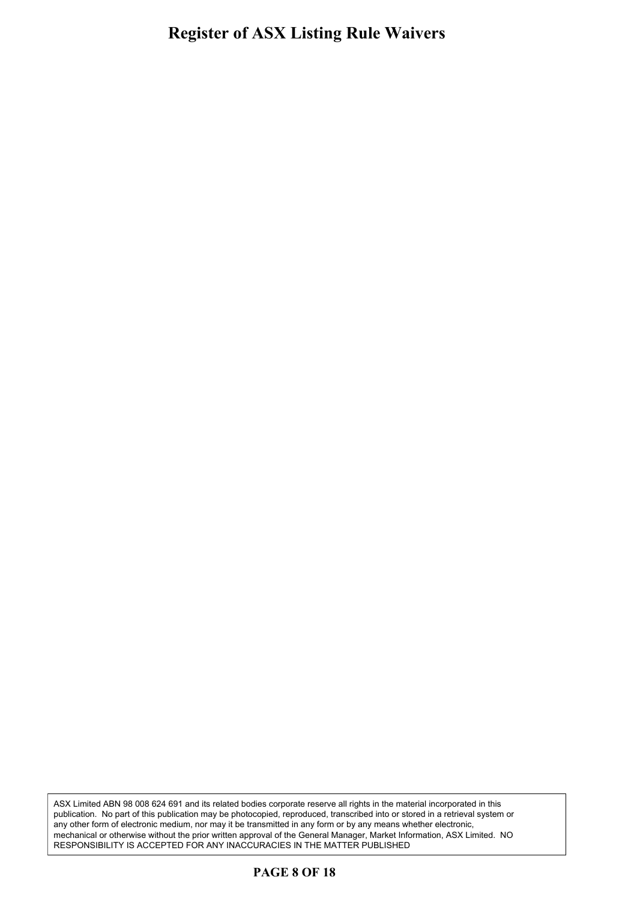ASX Limited ABN 98 008 624 691 and its related bodies corporate reserve all rights in the material incorporated in this publication. No part of this publication may be photocopied, reproduced, transcribed into or stored in a retrieval system or any other form of electronic medium, nor may it be transmitted in any form or by any means whether electronic, mechanical or otherwise without the prior written approval of the General Manager, Market Information, ASX Limited. NO RESPONSIBILITY IS ACCEPTED FOR ANY INACCURACIES IN THE MATTER PUBLISHED

#### **PAGE 8 OF 18**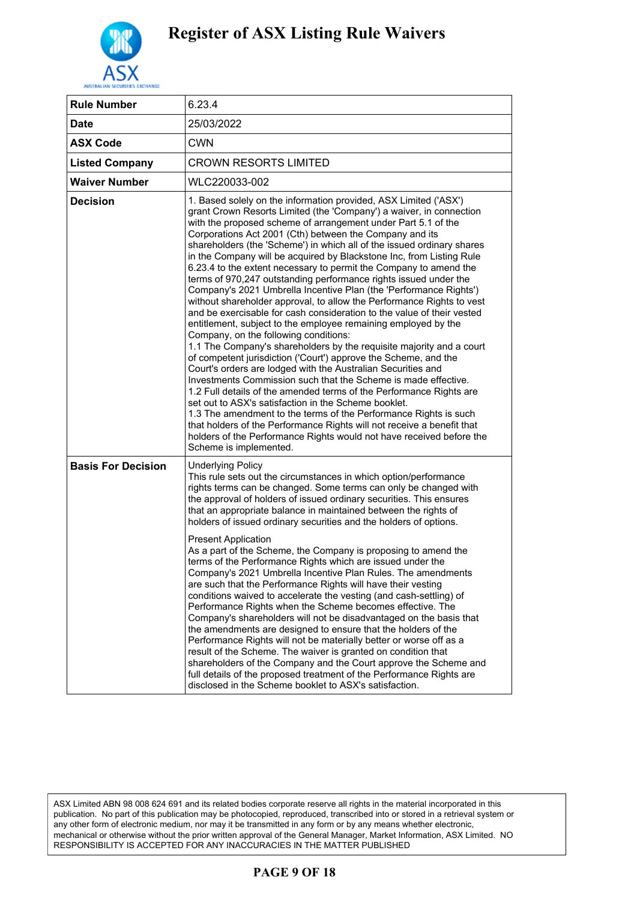

| <b>Rule Number</b>        | 6.23.4                                                                                                                                                                                                                                                                                                                                                                                                                                                                                                                                                                                                                                                                                                                                                                                                                                                                                                                                                                                                                                                                                                                                                                                                                                                                                                                                                                                                                                                                                                                                                        |
|---------------------------|---------------------------------------------------------------------------------------------------------------------------------------------------------------------------------------------------------------------------------------------------------------------------------------------------------------------------------------------------------------------------------------------------------------------------------------------------------------------------------------------------------------------------------------------------------------------------------------------------------------------------------------------------------------------------------------------------------------------------------------------------------------------------------------------------------------------------------------------------------------------------------------------------------------------------------------------------------------------------------------------------------------------------------------------------------------------------------------------------------------------------------------------------------------------------------------------------------------------------------------------------------------------------------------------------------------------------------------------------------------------------------------------------------------------------------------------------------------------------------------------------------------------------------------------------------------|
| <b>Date</b>               | 25/03/2022                                                                                                                                                                                                                                                                                                                                                                                                                                                                                                                                                                                                                                                                                                                                                                                                                                                                                                                                                                                                                                                                                                                                                                                                                                                                                                                                                                                                                                                                                                                                                    |
| <b>ASX Code</b>           | <b>CWN</b>                                                                                                                                                                                                                                                                                                                                                                                                                                                                                                                                                                                                                                                                                                                                                                                                                                                                                                                                                                                                                                                                                                                                                                                                                                                                                                                                                                                                                                                                                                                                                    |
| <b>Listed Company</b>     | <b>CROWN RESORTS LIMITED</b>                                                                                                                                                                                                                                                                                                                                                                                                                                                                                                                                                                                                                                                                                                                                                                                                                                                                                                                                                                                                                                                                                                                                                                                                                                                                                                                                                                                                                                                                                                                                  |
| <b>Waiver Number</b>      | WLC220033-002                                                                                                                                                                                                                                                                                                                                                                                                                                                                                                                                                                                                                                                                                                                                                                                                                                                                                                                                                                                                                                                                                                                                                                                                                                                                                                                                                                                                                                                                                                                                                 |
| <b>Decision</b>           | 1. Based solely on the information provided, ASX Limited ('ASX')<br>grant Crown Resorts Limited (the 'Company') a waiver, in connection<br>with the proposed scheme of arrangement under Part 5.1 of the<br>Corporations Act 2001 (Cth) between the Company and its<br>shareholders (the 'Scheme') in which all of the issued ordinary shares<br>in the Company will be acquired by Blackstone Inc, from Listing Rule<br>6.23.4 to the extent necessary to permit the Company to amend the<br>terms of 970,247 outstanding performance rights issued under the<br>Company's 2021 Umbrella Incentive Plan (the 'Performance Rights')<br>without shareholder approval, to allow the Performance Rights to vest<br>and be exercisable for cash consideration to the value of their vested<br>entitlement, subject to the employee remaining employed by the<br>Company, on the following conditions:<br>1.1 The Company's shareholders by the requisite majority and a court<br>of competent jurisdiction ('Court') approve the Scheme, and the<br>Court's orders are lodged with the Australian Securities and<br>Investments Commission such that the Scheme is made effective.<br>1.2 Full details of the amended terms of the Performance Rights are<br>set out to ASX's satisfaction in the Scheme booklet.<br>1.3 The amendment to the terms of the Performance Rights is such<br>that holders of the Performance Rights will not receive a benefit that<br>holders of the Performance Rights would not have received before the<br>Scheme is implemented. |
| <b>Basis For Decision</b> | <b>Underlying Policy</b><br>This rule sets out the circumstances in which option/performance<br>rights terms can be changed. Some terms can only be changed with<br>the approval of holders of issued ordinary securities. This ensures<br>that an appropriate balance in maintained between the rights of<br>holders of issued ordinary securities and the holders of options.<br><b>Present Application</b><br>As a part of the Scheme, the Company is proposing to amend the<br>terms of the Performance Rights which are issued under the<br>Company's 2021 Umbrella Incentive Plan Rules. The amendments<br>are such that the Performance Rights will have their vesting<br>conditions waived to accelerate the vesting (and cash-settling) of<br>Performance Rights when the Scheme becomes effective. The<br>Company's shareholders will not be disadvantaged on the basis that<br>the amendments are designed to ensure that the holders of the<br>Performance Rights will not be materially better or worse off as a<br>result of the Scheme. The waiver is granted on condition that<br>shareholders of the Company and the Court approve the Scheme and<br>full details of the proposed treatment of the Performance Rights are<br>disclosed in the Scheme booklet to ASX's satisfaction.                                                                                                                                                                                                                                                          |

#### **PAGE 9 OF 18**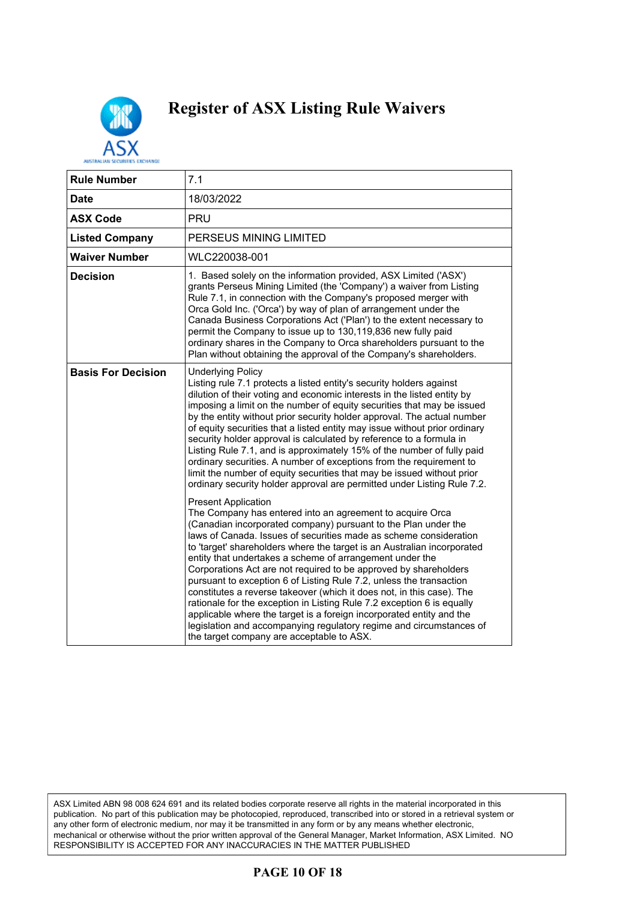

| <b>Rule Number</b>        | 7.1                                                                                                                                                                                                                                                                                                                                                                                                                                                                                                                                                                                                                                                                                                                                                                                                                                                                                                                                                                                                                                                                                                                                                                                                                                                                                                                                                                                                                                                                                                                                                                                                                                                            |
|---------------------------|----------------------------------------------------------------------------------------------------------------------------------------------------------------------------------------------------------------------------------------------------------------------------------------------------------------------------------------------------------------------------------------------------------------------------------------------------------------------------------------------------------------------------------------------------------------------------------------------------------------------------------------------------------------------------------------------------------------------------------------------------------------------------------------------------------------------------------------------------------------------------------------------------------------------------------------------------------------------------------------------------------------------------------------------------------------------------------------------------------------------------------------------------------------------------------------------------------------------------------------------------------------------------------------------------------------------------------------------------------------------------------------------------------------------------------------------------------------------------------------------------------------------------------------------------------------------------------------------------------------------------------------------------------------|
| <b>Date</b>               | 18/03/2022                                                                                                                                                                                                                                                                                                                                                                                                                                                                                                                                                                                                                                                                                                                                                                                                                                                                                                                                                                                                                                                                                                                                                                                                                                                                                                                                                                                                                                                                                                                                                                                                                                                     |
| <b>ASX Code</b>           | <b>PRU</b>                                                                                                                                                                                                                                                                                                                                                                                                                                                                                                                                                                                                                                                                                                                                                                                                                                                                                                                                                                                                                                                                                                                                                                                                                                                                                                                                                                                                                                                                                                                                                                                                                                                     |
| <b>Listed Company</b>     | PERSEUS MINING LIMITED                                                                                                                                                                                                                                                                                                                                                                                                                                                                                                                                                                                                                                                                                                                                                                                                                                                                                                                                                                                                                                                                                                                                                                                                                                                                                                                                                                                                                                                                                                                                                                                                                                         |
| <b>Waiver Number</b>      | WLC220038-001                                                                                                                                                                                                                                                                                                                                                                                                                                                                                                                                                                                                                                                                                                                                                                                                                                                                                                                                                                                                                                                                                                                                                                                                                                                                                                                                                                                                                                                                                                                                                                                                                                                  |
| <b>Decision</b>           | 1. Based solely on the information provided, ASX Limited ('ASX')<br>grants Perseus Mining Limited (the 'Company') a waiver from Listing<br>Rule 7.1, in connection with the Company's proposed merger with<br>Orca Gold Inc. ('Orca') by way of plan of arrangement under the<br>Canada Business Corporations Act ('Plan') to the extent necessary to<br>permit the Company to issue up to 130,119,836 new fully paid<br>ordinary shares in the Company to Orca shareholders pursuant to the<br>Plan without obtaining the approval of the Company's shareholders.                                                                                                                                                                                                                                                                                                                                                                                                                                                                                                                                                                                                                                                                                                                                                                                                                                                                                                                                                                                                                                                                                             |
| <b>Basis For Decision</b> | <b>Underlying Policy</b><br>Listing rule 7.1 protects a listed entity's security holders against<br>dilution of their voting and economic interests in the listed entity by<br>imposing a limit on the number of equity securities that may be issued<br>by the entity without prior security holder approval. The actual number<br>of equity securities that a listed entity may issue without prior ordinary<br>security holder approval is calculated by reference to a formula in<br>Listing Rule 7.1, and is approximately 15% of the number of fully paid<br>ordinary securities. A number of exceptions from the requirement to<br>limit the number of equity securities that may be issued without prior<br>ordinary security holder approval are permitted under Listing Rule 7.2.<br><b>Present Application</b><br>The Company has entered into an agreement to acquire Orca<br>(Canadian incorporated company) pursuant to the Plan under the<br>laws of Canada. Issues of securities made as scheme consideration<br>to 'target' shareholders where the target is an Australian incorporated<br>entity that undertakes a scheme of arrangement under the<br>Corporations Act are not required to be approved by shareholders<br>pursuant to exception 6 of Listing Rule 7.2, unless the transaction<br>constitutes a reverse takeover (which it does not, in this case). The<br>rationale for the exception in Listing Rule 7.2 exception 6 is equally<br>applicable where the target is a foreign incorporated entity and the<br>legislation and accompanying regulatory regime and circumstances of<br>the target company are acceptable to ASX. |

ASX Limited ABN 98 008 624 691 and its related bodies corporate reserve all rights in the material incorporated in this publication. No part of this publication may be photocopied, reproduced, transcribed into or stored in a retrieval system or any other form of electronic medium, nor may it be transmitted in any form or by any means whether electronic, mechanical or otherwise without the prior written approval of the General Manager, Market Information, ASX Limited. NO RESPONSIBILITY IS ACCEPTED FOR ANY INACCURACIES IN THE MATTER PUBLISHED

#### **PAGE 10 OF 18**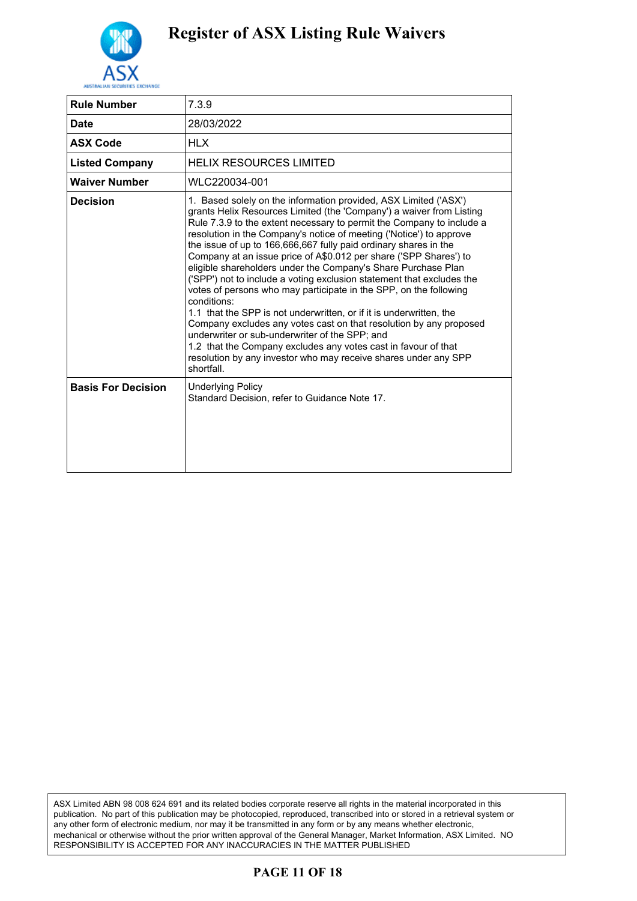

| <b>Rule Number</b>        | 7.3.9                                                                                                                                                                                                                                                                                                                                                                                                                                                                                                                                                                                                                                                                                                                                                                                                                                                                                                                                                                                                             |
|---------------------------|-------------------------------------------------------------------------------------------------------------------------------------------------------------------------------------------------------------------------------------------------------------------------------------------------------------------------------------------------------------------------------------------------------------------------------------------------------------------------------------------------------------------------------------------------------------------------------------------------------------------------------------------------------------------------------------------------------------------------------------------------------------------------------------------------------------------------------------------------------------------------------------------------------------------------------------------------------------------------------------------------------------------|
| <b>Date</b>               | 28/03/2022                                                                                                                                                                                                                                                                                                                                                                                                                                                                                                                                                                                                                                                                                                                                                                                                                                                                                                                                                                                                        |
| <b>ASX Code</b>           | HLX.                                                                                                                                                                                                                                                                                                                                                                                                                                                                                                                                                                                                                                                                                                                                                                                                                                                                                                                                                                                                              |
| <b>Listed Company</b>     | <b>HELIX RESOURCES LIMITED</b>                                                                                                                                                                                                                                                                                                                                                                                                                                                                                                                                                                                                                                                                                                                                                                                                                                                                                                                                                                                    |
| <b>Waiver Number</b>      | WLC220034-001                                                                                                                                                                                                                                                                                                                                                                                                                                                                                                                                                                                                                                                                                                                                                                                                                                                                                                                                                                                                     |
| <b>Decision</b>           | 1. Based solely on the information provided, ASX Limited ('ASX')<br>grants Helix Resources Limited (the 'Company') a waiver from Listing<br>Rule 7.3.9 to the extent necessary to permit the Company to include a<br>resolution in the Company's notice of meeting ('Notice') to approve<br>the issue of up to 166,666,667 fully paid ordinary shares in the<br>Company at an issue price of A\$0.012 per share ('SPP Shares') to<br>eligible shareholders under the Company's Share Purchase Plan<br>('SPP') not to include a voting exclusion statement that excludes the<br>votes of persons who may participate in the SPP, on the following<br>conditions:<br>1.1 that the SPP is not underwritten, or if it is underwritten, the<br>Company excludes any votes cast on that resolution by any proposed<br>underwriter or sub-underwriter of the SPP; and<br>1.2 that the Company excludes any votes cast in favour of that<br>resolution by any investor who may receive shares under any SPP<br>shortfall. |
| <b>Basis For Decision</b> | <b>Underlying Policy</b><br>Standard Decision, refer to Guidance Note 17.                                                                                                                                                                                                                                                                                                                                                                                                                                                                                                                                                                                                                                                                                                                                                                                                                                                                                                                                         |

ASX Limited ABN 98 008 624 691 and its related bodies corporate reserve all rights in the material incorporated in this publication. No part of this publication may be photocopied, reproduced, transcribed into or stored in a retrieval system or any other form of electronic medium, nor may it be transmitted in any form or by any means whether electronic, mechanical or otherwise without the prior written approval of the General Manager, Market Information, ASX Limited. NO RESPONSIBILITY IS ACCEPTED FOR ANY INACCURACIES IN THE MATTER PUBLISHED

#### **PAGE 11 OF 18**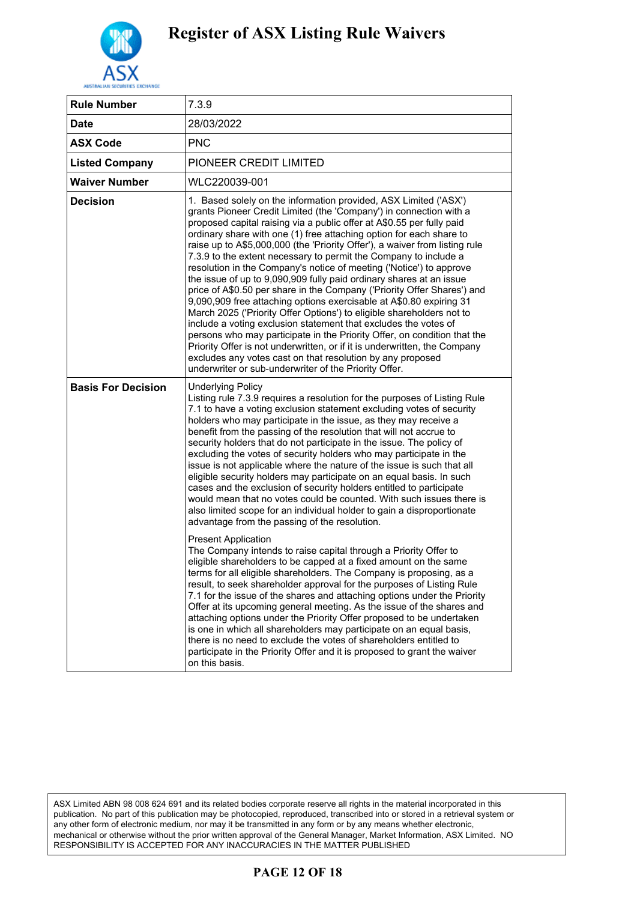

| <b>Rule Number</b>        | 7.3.9                                                                                                                                                                                                                                                                                                                                                                                                                                                                                                                                                                                                                                                                                                                                                                                                                                                                                                                                                                                                                                                                                                                                                                                                                                                                                                                                                                                                                                                                                                                                                                                                                                                                                         |
|---------------------------|-----------------------------------------------------------------------------------------------------------------------------------------------------------------------------------------------------------------------------------------------------------------------------------------------------------------------------------------------------------------------------------------------------------------------------------------------------------------------------------------------------------------------------------------------------------------------------------------------------------------------------------------------------------------------------------------------------------------------------------------------------------------------------------------------------------------------------------------------------------------------------------------------------------------------------------------------------------------------------------------------------------------------------------------------------------------------------------------------------------------------------------------------------------------------------------------------------------------------------------------------------------------------------------------------------------------------------------------------------------------------------------------------------------------------------------------------------------------------------------------------------------------------------------------------------------------------------------------------------------------------------------------------------------------------------------------------|
| <b>Date</b>               | 28/03/2022                                                                                                                                                                                                                                                                                                                                                                                                                                                                                                                                                                                                                                                                                                                                                                                                                                                                                                                                                                                                                                                                                                                                                                                                                                                                                                                                                                                                                                                                                                                                                                                                                                                                                    |
| <b>ASX Code</b>           | <b>PNC</b>                                                                                                                                                                                                                                                                                                                                                                                                                                                                                                                                                                                                                                                                                                                                                                                                                                                                                                                                                                                                                                                                                                                                                                                                                                                                                                                                                                                                                                                                                                                                                                                                                                                                                    |
| <b>Listed Company</b>     | PIONEER CREDIT LIMITED                                                                                                                                                                                                                                                                                                                                                                                                                                                                                                                                                                                                                                                                                                                                                                                                                                                                                                                                                                                                                                                                                                                                                                                                                                                                                                                                                                                                                                                                                                                                                                                                                                                                        |
| <b>Waiver Number</b>      | WLC220039-001                                                                                                                                                                                                                                                                                                                                                                                                                                                                                                                                                                                                                                                                                                                                                                                                                                                                                                                                                                                                                                                                                                                                                                                                                                                                                                                                                                                                                                                                                                                                                                                                                                                                                 |
| <b>Decision</b>           | 1. Based solely on the information provided, ASX Limited ('ASX')<br>grants Pioneer Credit Limited (the 'Company') in connection with a<br>proposed capital raising via a public offer at A\$0.55 per fully paid<br>ordinary share with one (1) free attaching option for each share to<br>raise up to A\$5,000,000 (the 'Priority Offer'), a waiver from listing rule<br>7.3.9 to the extent necessary to permit the Company to include a<br>resolution in the Company's notice of meeting ('Notice') to approve<br>the issue of up to 9,090,909 fully paid ordinary shares at an issue<br>price of A\$0.50 per share in the Company ('Priority Offer Shares') and<br>9,090,909 free attaching options exercisable at A\$0.80 expiring 31<br>March 2025 ('Priority Offer Options') to eligible shareholders not to<br>include a voting exclusion statement that excludes the votes of<br>persons who may participate in the Priority Offer, on condition that the<br>Priority Offer is not underwritten, or if it is underwritten, the Company<br>excludes any votes cast on that resolution by any proposed<br>underwriter or sub-underwriter of the Priority Offer.                                                                                                                                                                                                                                                                                                                                                                                                                                                                                                                         |
| <b>Basis For Decision</b> | <b>Underlying Policy</b><br>Listing rule 7.3.9 requires a resolution for the purposes of Listing Rule<br>7.1 to have a voting exclusion statement excluding votes of security<br>holders who may participate in the issue, as they may receive a<br>benefit from the passing of the resolution that will not accrue to<br>security holders that do not participate in the issue. The policy of<br>excluding the votes of security holders who may participate in the<br>issue is not applicable where the nature of the issue is such that all<br>eligible security holders may participate on an equal basis. In such<br>cases and the exclusion of security holders entitled to participate<br>would mean that no votes could be counted. With such issues there is<br>also limited scope for an individual holder to gain a disproportionate<br>advantage from the passing of the resolution.<br><b>Present Application</b><br>The Company intends to raise capital through a Priority Offer to<br>eligible shareholders to be capped at a fixed amount on the same<br>terms for all eligible shareholders. The Company is proposing, as a<br>result, to seek shareholder approval for the purposes of Listing Rule<br>7.1 for the issue of the shares and attaching options under the Priority<br>Offer at its upcoming general meeting. As the issue of the shares and<br>attaching options under the Priority Offer proposed to be undertaken<br>is one in which all shareholders may participate on an equal basis,<br>there is no need to exclude the votes of shareholders entitled to<br>participate in the Priority Offer and it is proposed to grant the waiver<br>on this basis. |

ASX Limited ABN 98 008 624 691 and its related bodies corporate reserve all rights in the material incorporated in this publication. No part of this publication may be photocopied, reproduced, transcribed into or stored in a retrieval system or any other form of electronic medium, nor may it be transmitted in any form or by any means whether electronic, mechanical or otherwise without the prior written approval of the General Manager, Market Information, ASX Limited. NO RESPONSIBILITY IS ACCEPTED FOR ANY INACCURACIES IN THE MATTER PUBLISHED

#### **PAGE 12 OF 18**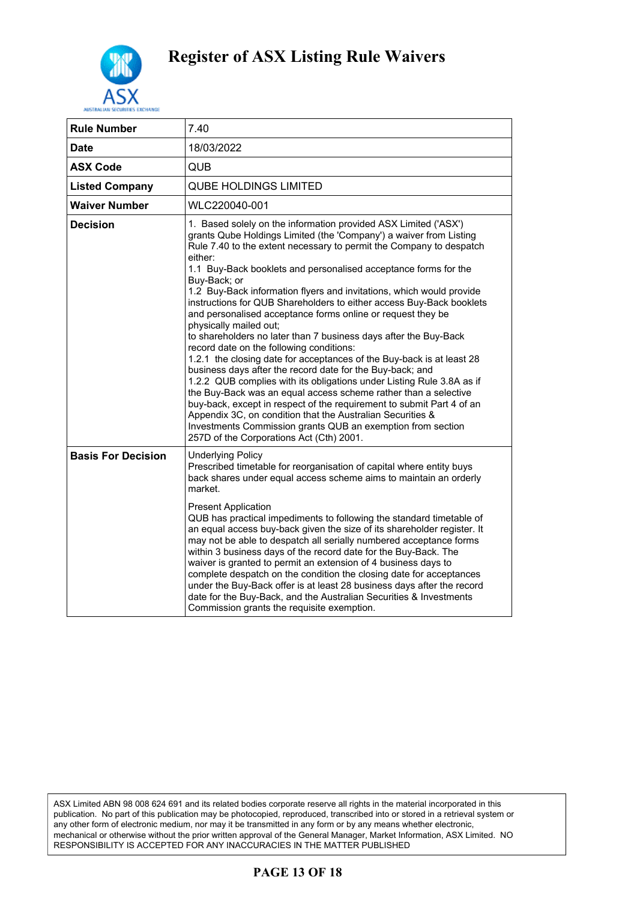

| <b>Rule Number</b>        | 7.40                                                                                                                                                                                                                                                                                                                                                                                                                                                                                                                                                                                                                                                                                                                                                                                                                                                                                                                                                                                                                                                                                                                                                                                                    |
|---------------------------|---------------------------------------------------------------------------------------------------------------------------------------------------------------------------------------------------------------------------------------------------------------------------------------------------------------------------------------------------------------------------------------------------------------------------------------------------------------------------------------------------------------------------------------------------------------------------------------------------------------------------------------------------------------------------------------------------------------------------------------------------------------------------------------------------------------------------------------------------------------------------------------------------------------------------------------------------------------------------------------------------------------------------------------------------------------------------------------------------------------------------------------------------------------------------------------------------------|
| Date                      | 18/03/2022                                                                                                                                                                                                                                                                                                                                                                                                                                                                                                                                                                                                                                                                                                                                                                                                                                                                                                                                                                                                                                                                                                                                                                                              |
| <b>ASX Code</b>           | QUB                                                                                                                                                                                                                                                                                                                                                                                                                                                                                                                                                                                                                                                                                                                                                                                                                                                                                                                                                                                                                                                                                                                                                                                                     |
| <b>Listed Company</b>     | <b>QUBE HOLDINGS LIMITED</b>                                                                                                                                                                                                                                                                                                                                                                                                                                                                                                                                                                                                                                                                                                                                                                                                                                                                                                                                                                                                                                                                                                                                                                            |
| <b>Waiver Number</b>      | WLC220040-001                                                                                                                                                                                                                                                                                                                                                                                                                                                                                                                                                                                                                                                                                                                                                                                                                                                                                                                                                                                                                                                                                                                                                                                           |
| <b>Decision</b>           | 1. Based solely on the information provided ASX Limited ('ASX')<br>grants Qube Holdings Limited (the 'Company') a waiver from Listing<br>Rule 7.40 to the extent necessary to permit the Company to despatch<br>either:<br>1.1 Buy-Back booklets and personalised acceptance forms for the<br>Buy-Back; or<br>1.2 Buy-Back information flyers and invitations, which would provide<br>instructions for QUB Shareholders to either access Buy-Back booklets<br>and personalised acceptance forms online or request they be<br>physically mailed out;<br>to shareholders no later than 7 business days after the Buy-Back<br>record date on the following conditions:<br>1.2.1 the closing date for acceptances of the Buy-back is at least 28<br>business days after the record date for the Buy-back; and<br>1.2.2 QUB complies with its obligations under Listing Rule 3.8A as if<br>the Buy-Back was an equal access scheme rather than a selective<br>buy-back, except in respect of the requirement to submit Part 4 of an<br>Appendix 3C, on condition that the Australian Securities &<br>Investments Commission grants QUB an exemption from section<br>257D of the Corporations Act (Cth) 2001. |
| <b>Basis For Decision</b> | <b>Underlying Policy</b><br>Prescribed timetable for reorganisation of capital where entity buys<br>back shares under equal access scheme aims to maintain an orderly<br>market.<br><b>Present Application</b><br>QUB has practical impediments to following the standard timetable of<br>an equal access buy-back given the size of its shareholder register. It<br>may not be able to despatch all serially numbered acceptance forms<br>within 3 business days of the record date for the Buy-Back. The<br>waiver is granted to permit an extension of 4 business days to<br>complete despatch on the condition the closing date for acceptances<br>under the Buy-Back offer is at least 28 business days after the record<br>date for the Buy-Back, and the Australian Securities & Investments<br>Commission grants the requisite exemption.                                                                                                                                                                                                                                                                                                                                                       |

ASX Limited ABN 98 008 624 691 and its related bodies corporate reserve all rights in the material incorporated in this publication. No part of this publication may be photocopied, reproduced, transcribed into or stored in a retrieval system or any other form of electronic medium, nor may it be transmitted in any form or by any means whether electronic, mechanical or otherwise without the prior written approval of the General Manager, Market Information, ASX Limited. NO RESPONSIBILITY IS ACCEPTED FOR ANY INACCURACIES IN THE MATTER PUBLISHED

#### **PAGE 13 OF 18**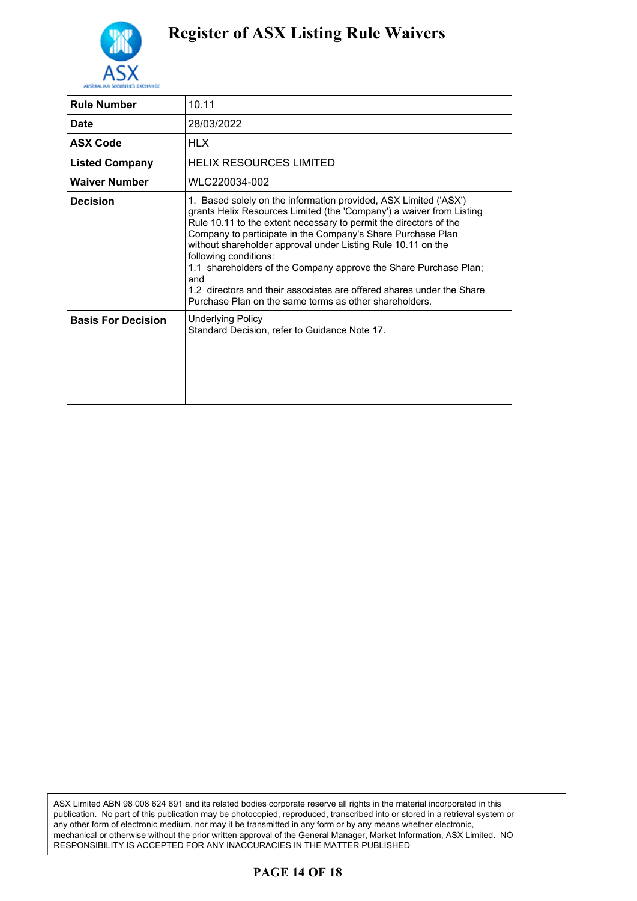

| <b>Rule Number</b>        | 10.11                                                                                                                                                                                                                                                                                                                                                                                                                                                                                                                                                                               |
|---------------------------|-------------------------------------------------------------------------------------------------------------------------------------------------------------------------------------------------------------------------------------------------------------------------------------------------------------------------------------------------------------------------------------------------------------------------------------------------------------------------------------------------------------------------------------------------------------------------------------|
| <b>Date</b>               | 28/03/2022                                                                                                                                                                                                                                                                                                                                                                                                                                                                                                                                                                          |
| <b>ASX Code</b>           | <b>HLX</b>                                                                                                                                                                                                                                                                                                                                                                                                                                                                                                                                                                          |
| <b>Listed Company</b>     | <b>HELIX RESOURCES LIMITED</b>                                                                                                                                                                                                                                                                                                                                                                                                                                                                                                                                                      |
| <b>Waiver Number</b>      | WLC220034-002                                                                                                                                                                                                                                                                                                                                                                                                                                                                                                                                                                       |
| <b>Decision</b>           | 1. Based solely on the information provided, ASX Limited ('ASX')<br>grants Helix Resources Limited (the 'Company') a waiver from Listing<br>Rule 10.11 to the extent necessary to permit the directors of the<br>Company to participate in the Company's Share Purchase Plan<br>without shareholder approval under Listing Rule 10.11 on the<br>following conditions:<br>1.1 shareholders of the Company approve the Share Purchase Plan;<br>and<br>1.2 directors and their associates are offered shares under the Share<br>Purchase Plan on the same terms as other shareholders. |
| <b>Basis For Decision</b> | <b>Underlying Policy</b><br>Standard Decision, refer to Guidance Note 17.                                                                                                                                                                                                                                                                                                                                                                                                                                                                                                           |

ASX Limited ABN 98 008 624 691 and its related bodies corporate reserve all rights in the material incorporated in this publication. No part of this publication may be photocopied, reproduced, transcribed into or stored in a retrieval system or any other form of electronic medium, nor may it be transmitted in any form or by any means whether electronic, mechanical or otherwise without the prior written approval of the General Manager, Market Information, ASX Limited. NO RESPONSIBILITY IS ACCEPTED FOR ANY INACCURACIES IN THE MATTER PUBLISHED

#### **PAGE 14 OF 18**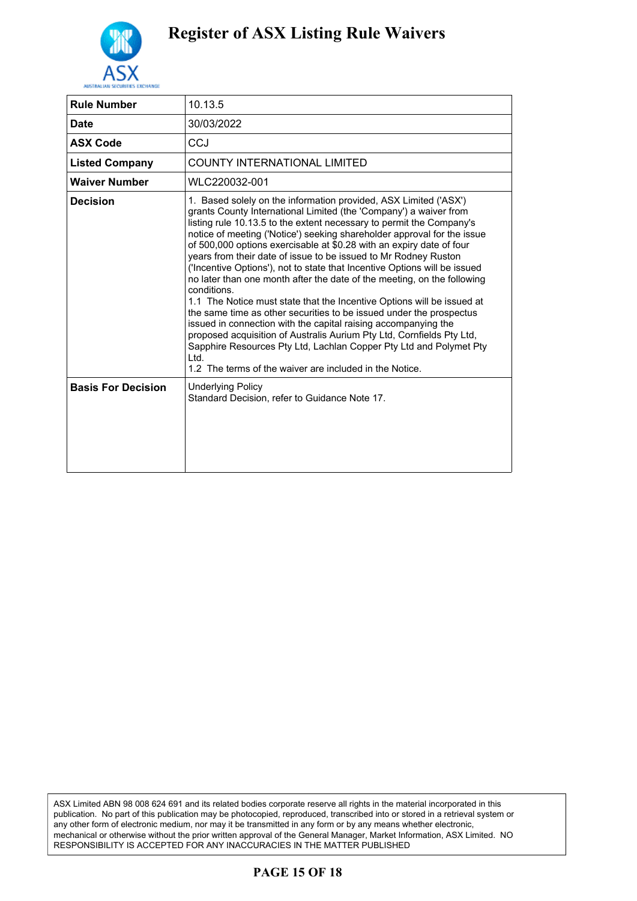

| <b>Rule Number</b>        | 10.13.5                                                                                                                                                                                                                                                                                                                                                                                                                                                                                                                                                                                                                                                                                                                                                                                                                                                                                                                                                                                                                                          |
|---------------------------|--------------------------------------------------------------------------------------------------------------------------------------------------------------------------------------------------------------------------------------------------------------------------------------------------------------------------------------------------------------------------------------------------------------------------------------------------------------------------------------------------------------------------------------------------------------------------------------------------------------------------------------------------------------------------------------------------------------------------------------------------------------------------------------------------------------------------------------------------------------------------------------------------------------------------------------------------------------------------------------------------------------------------------------------------|
| Date                      | 30/03/2022                                                                                                                                                                                                                                                                                                                                                                                                                                                                                                                                                                                                                                                                                                                                                                                                                                                                                                                                                                                                                                       |
| <b>ASX Code</b>           | CCJ                                                                                                                                                                                                                                                                                                                                                                                                                                                                                                                                                                                                                                                                                                                                                                                                                                                                                                                                                                                                                                              |
| <b>Listed Company</b>     | COUNTY INTERNATIONAL LIMITED                                                                                                                                                                                                                                                                                                                                                                                                                                                                                                                                                                                                                                                                                                                                                                                                                                                                                                                                                                                                                     |
| <b>Waiver Number</b>      | WLC220032-001                                                                                                                                                                                                                                                                                                                                                                                                                                                                                                                                                                                                                                                                                                                                                                                                                                                                                                                                                                                                                                    |
| <b>Decision</b>           | 1. Based solely on the information provided, ASX Limited ('ASX')<br>grants County International Limited (the 'Company') a waiver from<br>listing rule 10.13.5 to the extent necessary to permit the Company's<br>notice of meeting ('Notice') seeking shareholder approval for the issue<br>of 500,000 options exercisable at \$0.28 with an expiry date of four<br>years from their date of issue to be issued to Mr Rodney Ruston<br>('Incentive Options'), not to state that Incentive Options will be issued<br>no later than one month after the date of the meeting, on the following<br>conditions.<br>1.1 The Notice must state that the Incentive Options will be issued at<br>the same time as other securities to be issued under the prospectus<br>issued in connection with the capital raising accompanying the<br>proposed acquisition of Australis Aurium Pty Ltd, Cornfields Pty Ltd,<br>Sapphire Resources Pty Ltd, Lachlan Copper Pty Ltd and Polymet Pty<br>l td.<br>1.2 The terms of the waiver are included in the Notice. |
| <b>Basis For Decision</b> | <b>Underlying Policy</b><br>Standard Decision, refer to Guidance Note 17.                                                                                                                                                                                                                                                                                                                                                                                                                                                                                                                                                                                                                                                                                                                                                                                                                                                                                                                                                                        |

ASX Limited ABN 98 008 624 691 and its related bodies corporate reserve all rights in the material incorporated in this publication. No part of this publication may be photocopied, reproduced, transcribed into or stored in a retrieval system or any other form of electronic medium, nor may it be transmitted in any form or by any means whether electronic, mechanical or otherwise without the prior written approval of the General Manager, Market Information, ASX Limited. NO RESPONSIBILITY IS ACCEPTED FOR ANY INACCURACIES IN THE MATTER PUBLISHED

#### **PAGE 15 OF 18**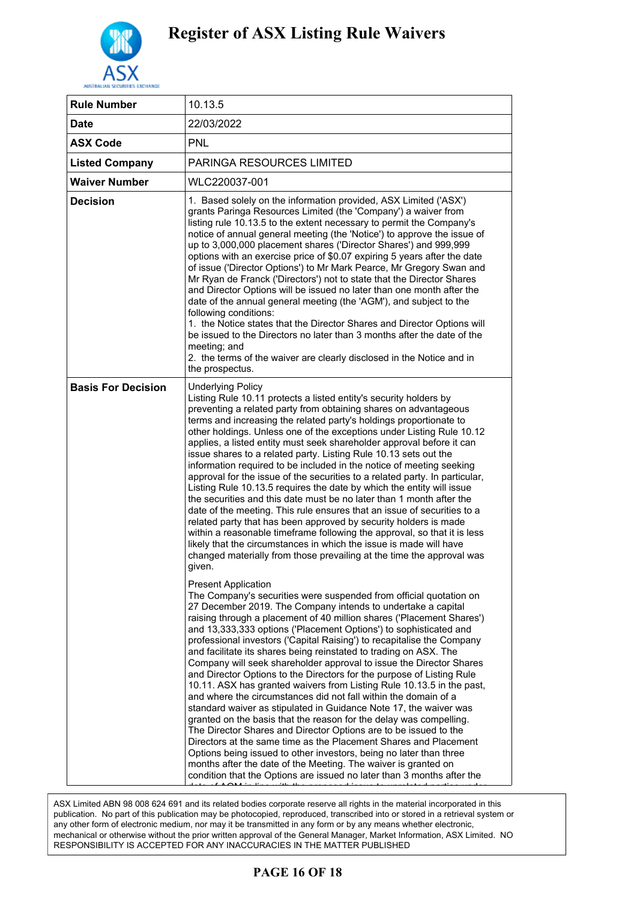

| <b>Rule Number</b>        | 10.13.5                                                                                                                                                                                                                                                                                                                                                                                                                                                                                                                                                                                                                                                                                                                                                                                                                                                                                                                                                                                                                                                                                                                                                                                                                                                        |
|---------------------------|----------------------------------------------------------------------------------------------------------------------------------------------------------------------------------------------------------------------------------------------------------------------------------------------------------------------------------------------------------------------------------------------------------------------------------------------------------------------------------------------------------------------------------------------------------------------------------------------------------------------------------------------------------------------------------------------------------------------------------------------------------------------------------------------------------------------------------------------------------------------------------------------------------------------------------------------------------------------------------------------------------------------------------------------------------------------------------------------------------------------------------------------------------------------------------------------------------------------------------------------------------------|
| <b>Date</b>               | 22/03/2022                                                                                                                                                                                                                                                                                                                                                                                                                                                                                                                                                                                                                                                                                                                                                                                                                                                                                                                                                                                                                                                                                                                                                                                                                                                     |
| <b>ASX Code</b>           | <b>PNL</b>                                                                                                                                                                                                                                                                                                                                                                                                                                                                                                                                                                                                                                                                                                                                                                                                                                                                                                                                                                                                                                                                                                                                                                                                                                                     |
| <b>Listed Company</b>     | <b>PARINGA RESOURCES LIMITED</b>                                                                                                                                                                                                                                                                                                                                                                                                                                                                                                                                                                                                                                                                                                                                                                                                                                                                                                                                                                                                                                                                                                                                                                                                                               |
| <b>Waiver Number</b>      | WLC220037-001                                                                                                                                                                                                                                                                                                                                                                                                                                                                                                                                                                                                                                                                                                                                                                                                                                                                                                                                                                                                                                                                                                                                                                                                                                                  |
| <b>Decision</b>           | 1. Based solely on the information provided, ASX Limited ('ASX')<br>grants Paringa Resources Limited (the 'Company') a waiver from<br>listing rule 10.13.5 to the extent necessary to permit the Company's<br>notice of annual general meeting (the 'Notice') to approve the issue of<br>up to 3,000,000 placement shares ('Director Shares') and 999,999<br>options with an exercise price of \$0.07 expiring 5 years after the date<br>of issue ('Director Options') to Mr Mark Pearce, Mr Gregory Swan and<br>Mr Ryan de Franck ('Directors') not to state that the Director Shares<br>and Director Options will be issued no later than one month after the<br>date of the annual general meeting (the 'AGM'), and subject to the<br>following conditions:<br>1. the Notice states that the Director Shares and Director Options will<br>be issued to the Directors no later than 3 months after the date of the<br>meeting; and<br>2. the terms of the waiver are clearly disclosed in the Notice and in<br>the prospectus.                                                                                                                                                                                                                               |
| <b>Basis For Decision</b> | <b>Underlying Policy</b><br>Listing Rule 10.11 protects a listed entity's security holders by<br>preventing a related party from obtaining shares on advantageous<br>terms and increasing the related party's holdings proportionate to<br>other holdings. Unless one of the exceptions under Listing Rule 10.12<br>applies, a listed entity must seek shareholder approval before it can<br>issue shares to a related party. Listing Rule 10.13 sets out the<br>information required to be included in the notice of meeting seeking<br>approval for the issue of the securities to a related party. In particular,<br>Listing Rule 10.13.5 requires the date by which the entity will issue<br>the securities and this date must be no later than 1 month after the<br>date of the meeting. This rule ensures that an issue of securities to a<br>related party that has been approved by security holders is made<br>within a reasonable timeframe following the approval, so that it is less<br>likely that the circumstances in which the issue is made will have<br>changed materially from those prevailing at the time the approval was<br>given.                                                                                                      |
|                           | <b>Present Application</b><br>The Company's securities were suspended from official quotation on<br>27 December 2019. The Company intends to undertake a capital<br>raising through a placement of 40 million shares ('Placement Shares')<br>and 13,333,333 options ('Placement Options') to sophisticated and<br>professional investors ('Capital Raising') to recapitalise the Company<br>and facilitate its shares being reinstated to trading on ASX. The<br>Company will seek shareholder approval to issue the Director Shares<br>and Director Options to the Directors for the purpose of Listing Rule<br>10.11. ASX has granted waivers from Listing Rule 10.13.5 in the past,<br>and where the circumstances did not fall within the domain of a<br>standard waiver as stipulated in Guidance Note 17, the waiver was<br>granted on the basis that the reason for the delay was compelling.<br>The Director Shares and Director Options are to be issued to the<br>Directors at the same time as the Placement Shares and Placement<br>Options being issued to other investors, being no later than three<br>months after the date of the Meeting. The waiver is granted on<br>condition that the Options are issued no later than 3 months after the |

### **PAGE 16 OF 18**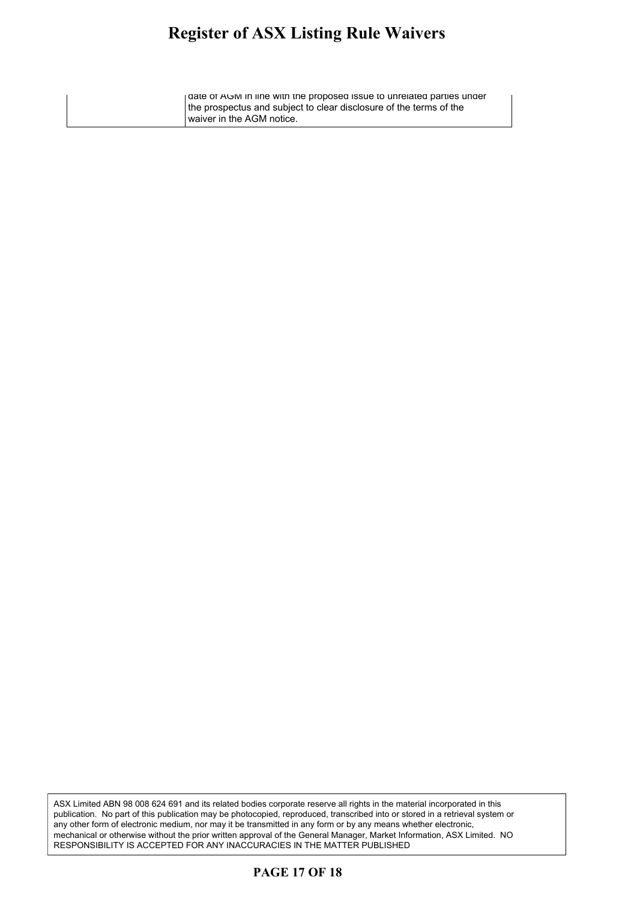#### **Register of ASX Listing Rule Waivers** gister of ASY Listing Rule Waivers Share of their Enging rand warvers

date of AGM in line with the proposed issue to unrelated parties under the prospectus and subject to clear disclosure of the terms of the waiver in the AGM notice.

ASX Limited ABN 98 008 624 691 and its related bodies corporate reserve all rights in the material incorporated in this publication. No part of this publication may be photocopied, reproduced, transcribed into or stored in a retrieval system or any other form of electronic medium, nor may it be transmitted in any form or by any means whether electronic, mechanical or otherwise without the prior written approval of the General Manager, Market Information, ASX Limited. NO RESPONSIBILITY IS ACCEPTED FOR ANY INACCURACIES IN THE MATTER PUBLISHED

#### **PAGE 17 OF 18**